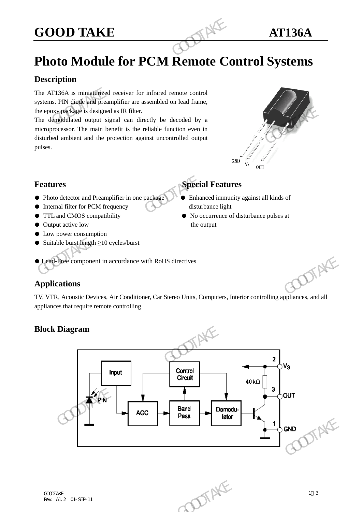# **GOOD TAKE AT136A**

## **Photo Module for PCM Remote Control Systems**

#### **Description**

The AT136A is miniaturized receiver for infrared remote control systems. PIN diode and preamplifier are assembled on lead frame, the epoxy package is designed as IR filter.

The demodulated output signal can directly be decoded by a microprocessor. The main benefit is the reliable function even in disturbed ambient and the protection against uncontrolled output pulses. **GOOD TAKE**<br> **Photo Module for PCM Remote Condemnation**<br>
The AT136A is miniaturized receiver for infrared remote control<br>
systems. PIN diade and preamplifier are assembled on lead frame,<br>
the epoxypackage is designed as IR



#### **Features** Special Features

- Photo detector and Preamplifier in one package Enhanced immunity against all kinds of
- Internal filter for PCM frequency disturbance light
- 
- Output active low the output
- Low power consumption
- Suitable burst length  $\geq 10$  cycles/burst

- 
- TTL and CMOS compatibility No occurrence of disturbance pulses at

### ● Lead-Free component in accordance with RoHS directives

#### **Applications**

TV, VTR, Acoustic Devices, Air Conditioner, Car Stereo Units, Computers, Interior controlling appliances, and all appliances that require remote controlling

#### **Block Diagram**

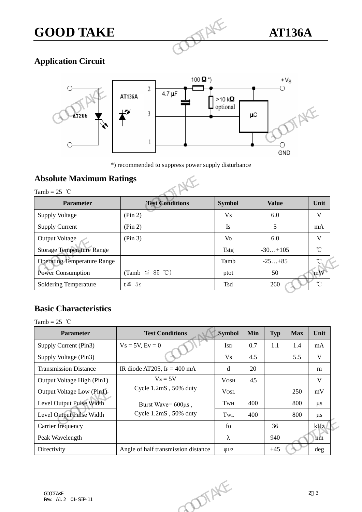# **GOOD TAKE AT136A**



#### **Application Circuit**



### **Absolute Maximum Ratings**

| <b>AT205</b>                                      | 3                                                   |               | μC<br>GND    |
|---------------------------------------------------|-----------------------------------------------------|---------------|--------------|
|                                                   | *) recommended to suppress power supply disturbance |               |              |
| <b>Absolute Maximum Ratings</b><br>Tamb = $25$ °C |                                                     |               |              |
| Parameter                                         | <b>Test Conditions</b>                              | <b>Symbol</b> | <b>Value</b> |
| <b>Supply Voltage</b>                             | (Pin 2)                                             | <b>Vs</b>     | 6.0          |
| <b>Supply Current</b>                             | (Pin 2)                                             | Is            | 5            |
| <b>Output Voltage</b>                             | (Pin 3)                                             | Vo            | $6.0\,$      |
| <b>Storage Temperature Range</b>                  |                                                     | <b>Tstg</b>   | $-30+105$    |
| <b>Operating Temperature Range</b>                |                                                     | Tamb          | $-25+85$     |
|                                                   |                                                     |               |              |
| <b>Power Consumption</b>                          | (Tamb $\leq$ 85 °C)                                 | ptot          | 50           |

#### **Basic Characteristics**

| <b>Operating Temperature Range</b> |                                       | Tamb        |     | $-25+85$   |            | $^{\circ}$ C      |
|------------------------------------|---------------------------------------|-------------|-----|------------|------------|-------------------|
| <b>Power Consumption</b>           | (Tamb $\leq$ 85 °C)                   | ptot        |     | 50         |            | mW                |
| Soldering Temperature              | $t \leq 5s$                           | Tsd         | 260 |            |            | $^\circ\!{\rm C}$ |
|                                    |                                       |             |     |            |            |                   |
| <b>Basic Characteristics</b>       |                                       |             |     |            |            |                   |
| Tamb = $25$ °C                     |                                       |             |     |            |            |                   |
| Parameter                          | <b>Test Conditions</b>                | Symbol      | Min | <b>Typ</b> | <b>Max</b> | Unit              |
| Supply Current (Pin3)              | $Vs = 5V, Ev = 0$                     | <b>ISD</b>  | 0.7 | $1.1\,$    | 1.4        | mA                |
| Supply Voltage (Pin3)              |                                       | <b>Vs</b>   | 4.5 |            | 5.5        | $\mathbf{V}$      |
| <b>Transmission Distance</b>       | IR diode AT205, IF = $400 \text{ mA}$ | $\mathbf d$ | 20  |            |            | m                 |
| Output Voltage High (Pin1)         | $Vs = 5V$                             | <b>VOSH</b> | 45  |            |            | $\mathbf{V}$      |
| Output Voltage Low (Pin1)          | Cycle 1.2mS, 50% duty                 | <b>VOSL</b> |     |            | 250        | mV                |
| Level Output Pulse Width           | Burst Wave= 600µs,                    | TWH         | 400 |            | 800        | $\mu s$           |
| Level Output Pulse Width           | Cycle 1.2mS, 50% duty                 | TwL         | 400 |            | 800        | $\mu s$           |
| Carrier frequency                  |                                       | $f_{0}$     |     | 36         |            | kHz               |
| Peak Wavelength                    |                                       | λ           |     | 940        |            | nm                |
| Directivity                        | Angle of half transmission distance   | Q1/2        |     | ±45        |            | deg               |